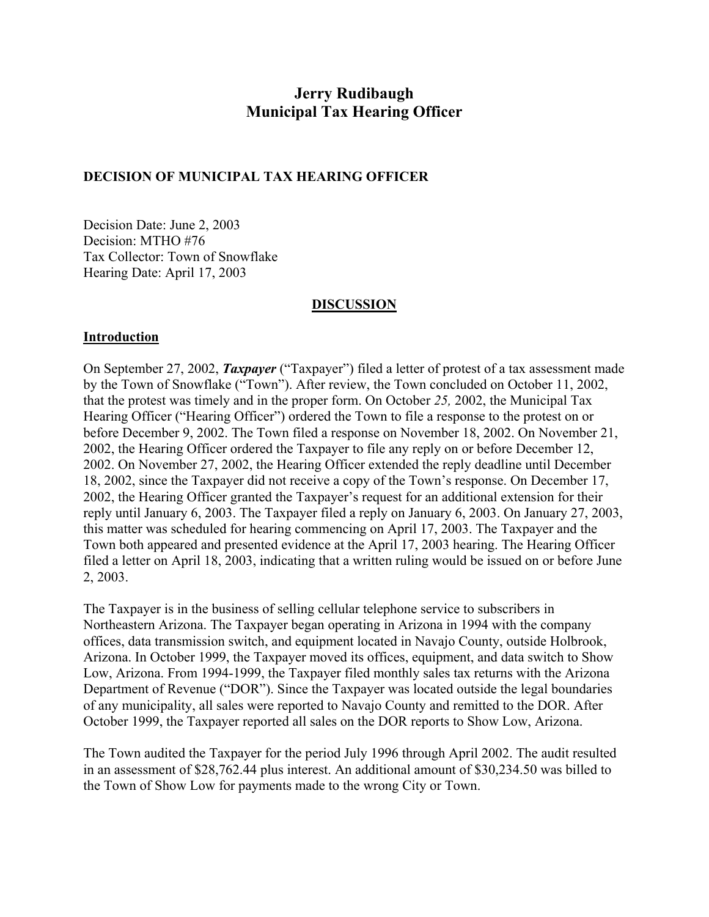# **Jerry Rudibaugh Municipal Tax Hearing Officer**

### **DECISION OF MUNICIPAL TAX HEARING OFFICER**

Decision Date: June 2, 2003 Decision: MTHO #76 Tax Collector: Town of Snowflake Hearing Date: April 17, 2003

#### **DISCUSSION**

#### **Introduction**

On September 27, 2002, *Taxpayer* ("Taxpayer") filed a letter of protest of a tax assessment made by the Town of Snowflake ("Town"). After review, the Town concluded on October 11, 2002, that the protest was timely and in the proper form. On October *25,* 2002, the Municipal Tax Hearing Officer ("Hearing Officer") ordered the Town to file a response to the protest on or before December 9, 2002. The Town filed a response on November 18, 2002. On November 21, 2002, the Hearing Officer ordered the Taxpayer to file any reply on or before December 12, 2002. On November 27, 2002, the Hearing Officer extended the reply deadline until December 18, 2002, since the Taxpayer did not receive a copy of the Town's response. On December 17, 2002, the Hearing Officer granted the Taxpayer's request for an additional extension for their reply until January 6, 2003. The Taxpayer filed a reply on January 6, 2003. On January 27, 2003, this matter was scheduled for hearing commencing on April 17, 2003. The Taxpayer and the Town both appeared and presented evidence at the April 17, 2003 hearing. The Hearing Officer filed a letter on April 18, 2003, indicating that a written ruling would be issued on or before June 2, 2003.

The Taxpayer is in the business of selling cellular telephone service to subscribers in Northeastern Arizona. The Taxpayer began operating in Arizona in 1994 with the company offices, data transmission switch, and equipment located in Navajo County, outside Holbrook, Arizona. In October 1999, the Taxpayer moved its offices, equipment, and data switch to Show Low, Arizona. From 1994-1999, the Taxpayer filed monthly sales tax returns with the Arizona Department of Revenue ("DOR"). Since the Taxpayer was located outside the legal boundaries of any municipality, all sales were reported to Navajo County and remitted to the DOR. After October 1999, the Taxpayer reported all sales on the DOR reports to Show Low, Arizona.

The Town audited the Taxpayer for the period July 1996 through April 2002. The audit resulted in an assessment of \$28,762.44 plus interest. An additional amount of \$30,234.50 was billed to the Town of Show Low for payments made to the wrong City or Town.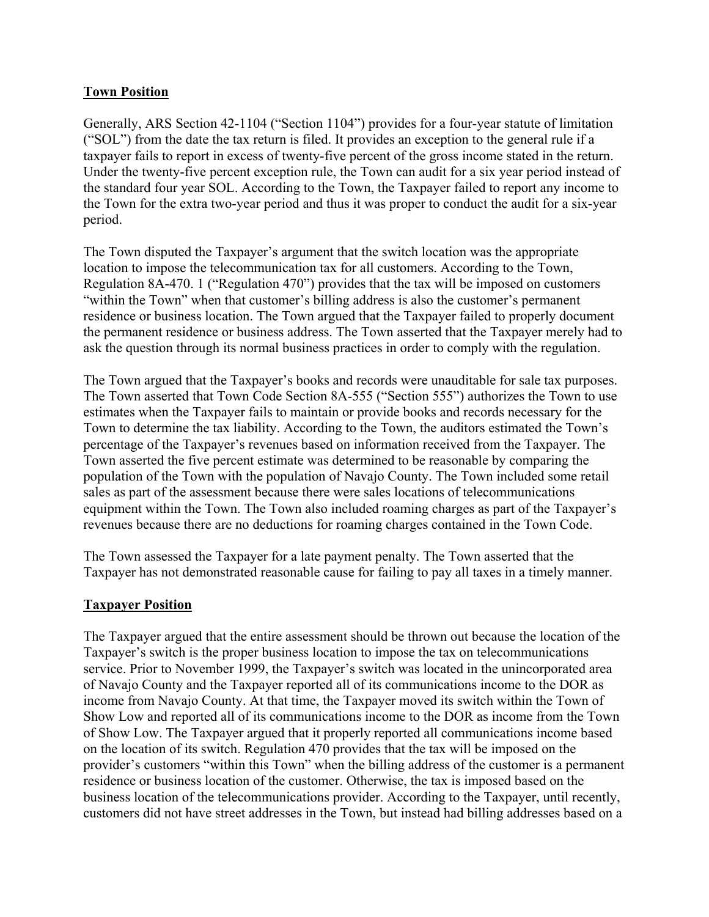## **Town Position**

Generally, ARS Section 42-1104 ("Section 1104") provides for a four-year statute of limitation ("SOL") from the date the tax return is filed. It provides an exception to the general rule if a taxpayer fails to report in excess of twenty-five percent of the gross income stated in the return. Under the twenty-five percent exception rule, the Town can audit for a six year period instead of the standard four year SOL. According to the Town, the Taxpayer failed to report any income to the Town for the extra two-year period and thus it was proper to conduct the audit for a six-year period.

The Town disputed the Taxpayer's argument that the switch location was the appropriate location to impose the telecommunication tax for all customers. According to the Town, Regulation 8A-470. 1 ("Regulation 470") provides that the tax will be imposed on customers "within the Town" when that customer's billing address is also the customer's permanent residence or business location. The Town argued that the Taxpayer failed to properly document the permanent residence or business address. The Town asserted that the Taxpayer merely had to ask the question through its normal business practices in order to comply with the regulation.

The Town argued that the Taxpayer's books and records were unauditable for sale tax purposes. The Town asserted that Town Code Section 8A-555 ("Section 555") authorizes the Town to use estimates when the Taxpayer fails to maintain or provide books and records necessary for the Town to determine the tax liability. According to the Town, the auditors estimated the Town's percentage of the Taxpayer's revenues based on information received from the Taxpayer. The Town asserted the five percent estimate was determined to be reasonable by comparing the population of the Town with the population of Navajo County. The Town included some retail sales as part of the assessment because there were sales locations of telecommunications equipment within the Town. The Town also included roaming charges as part of the Taxpayer's revenues because there are no deductions for roaming charges contained in the Town Code.

The Town assessed the Taxpayer for a late payment penalty. The Town asserted that the Taxpayer has not demonstrated reasonable cause for failing to pay all taxes in a timely manner.

## **Taxpayer Position**

The Taxpayer argued that the entire assessment should be thrown out because the location of the Taxpayer's switch is the proper business location to impose the tax on telecommunications service. Prior to November 1999, the Taxpayer's switch was located in the unincorporated area of Navajo County and the Taxpayer reported all of its communications income to the DOR as income from Navajo County. At that time, the Taxpayer moved its switch within the Town of Show Low and reported all of its communications income to the DOR as income from the Town of Show Low. The Taxpayer argued that it properly reported all communications income based on the location of its switch. Regulation 470 provides that the tax will be imposed on the provider's customers "within this Town" when the billing address of the customer is a permanent residence or business location of the customer. Otherwise, the tax is imposed based on the business location of the telecommunications provider. According to the Taxpayer, until recently, customers did not have street addresses in the Town, but instead had billing addresses based on a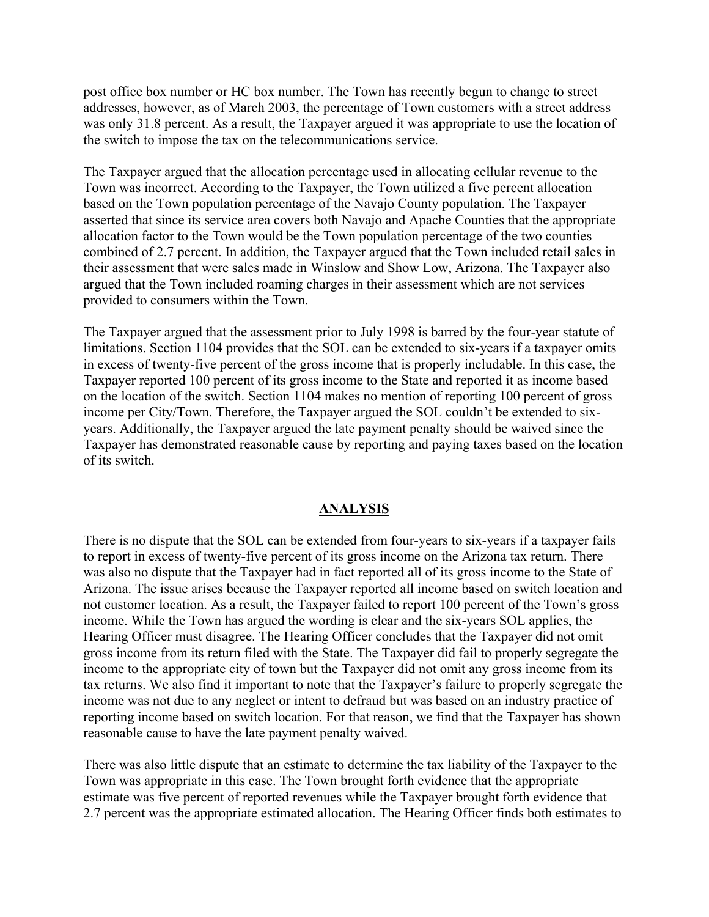post office box number or HC box number. The Town has recently begun to change to street addresses, however, as of March 2003, the percentage of Town customers with a street address was only 31.8 percent. As a result, the Taxpayer argued it was appropriate to use the location of the switch to impose the tax on the telecommunications service.

The Taxpayer argued that the allocation percentage used in allocating cellular revenue to the Town was incorrect. According to the Taxpayer, the Town utilized a five percent allocation based on the Town population percentage of the Navajo County population. The Taxpayer asserted that since its service area covers both Navajo and Apache Counties that the appropriate allocation factor to the Town would be the Town population percentage of the two counties combined of 2.7 percent. In addition, the Taxpayer argued that the Town included retail sales in their assessment that were sales made in Winslow and Show Low, Arizona. The Taxpayer also argued that the Town included roaming charges in their assessment which are not services provided to consumers within the Town.

The Taxpayer argued that the assessment prior to July 1998 is barred by the four-year statute of limitations. Section 1104 provides that the SOL can be extended to six-years if a taxpayer omits in excess of twenty-five percent of the gross income that is properly includable. In this case, the Taxpayer reported 100 percent of its gross income to the State and reported it as income based on the location of the switch. Section 1104 makes no mention of reporting 100 percent of gross income per City/Town. Therefore, the Taxpayer argued the SOL couldn't be extended to sixyears. Additionally, the Taxpayer argued the late payment penalty should be waived since the Taxpayer has demonstrated reasonable cause by reporting and paying taxes based on the location of its switch.

#### **ANALYSIS**

There is no dispute that the SOL can be extended from four-years to six-years if a taxpayer fails to report in excess of twenty-five percent of its gross income on the Arizona tax return. There was also no dispute that the Taxpayer had in fact reported all of its gross income to the State of Arizona. The issue arises because the Taxpayer reported all income based on switch location and not customer location. As a result, the Taxpayer failed to report 100 percent of the Town's gross income. While the Town has argued the wording is clear and the six-years SOL applies, the Hearing Officer must disagree. The Hearing Officer concludes that the Taxpayer did not omit gross income from its return filed with the State. The Taxpayer did fail to properly segregate the income to the appropriate city of town but the Taxpayer did not omit any gross income from its tax returns. We also find it important to note that the Taxpayer's failure to properly segregate the income was not due to any neglect or intent to defraud but was based on an industry practice of reporting income based on switch location. For that reason, we find that the Taxpayer has shown reasonable cause to have the late payment penalty waived.

There was also little dispute that an estimate to determine the tax liability of the Taxpayer to the Town was appropriate in this case. The Town brought forth evidence that the appropriate estimate was five percent of reported revenues while the Taxpayer brought forth evidence that 2.7 percent was the appropriate estimated allocation. The Hearing Officer finds both estimates to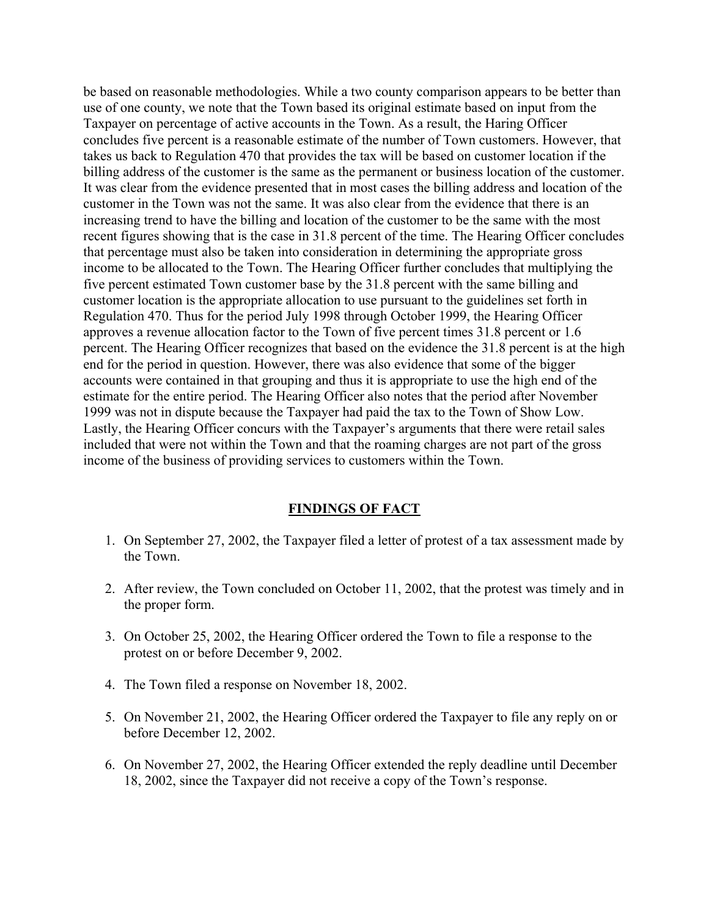be based on reasonable methodologies. While a two county comparison appears to be better than use of one county, we note that the Town based its original estimate based on input from the Taxpayer on percentage of active accounts in the Town. As a result, the Haring Officer concludes five percent is a reasonable estimate of the number of Town customers. However, that takes us back to Regulation 470 that provides the tax will be based on customer location if the billing address of the customer is the same as the permanent or business location of the customer. It was clear from the evidence presented that in most cases the billing address and location of the customer in the Town was not the same. It was also clear from the evidence that there is an increasing trend to have the billing and location of the customer to be the same with the most recent figures showing that is the case in 31.8 percent of the time. The Hearing Officer concludes that percentage must also be taken into consideration in determining the appropriate gross income to be allocated to the Town. The Hearing Officer further concludes that multiplying the five percent estimated Town customer base by the 31.8 percent with the same billing and customer location is the appropriate allocation to use pursuant to the guidelines set forth in Regulation 470. Thus for the period July 1998 through October 1999, the Hearing Officer approves a revenue allocation factor to the Town of five percent times 31.8 percent or 1.6 percent. The Hearing Officer recognizes that based on the evidence the 31.8 percent is at the high end for the period in question. However, there was also evidence that some of the bigger accounts were contained in that grouping and thus it is appropriate to use the high end of the estimate for the entire period. The Hearing Officer also notes that the period after November 1999 was not in dispute because the Taxpayer had paid the tax to the Town of Show Low. Lastly, the Hearing Officer concurs with the Taxpayer's arguments that there were retail sales included that were not within the Town and that the roaming charges are not part of the gross income of the business of providing services to customers within the Town.

#### **FINDINGS OF FACT**

- 1. On September 27, 2002, the Taxpayer filed a letter of protest of a tax assessment made by the Town.
- 2. After review, the Town concluded on October 11, 2002, that the protest was timely and in the proper form.
- 3. On October 25, 2002, the Hearing Officer ordered the Town to file a response to the protest on or before December 9, 2002.
- 4. The Town filed a response on November 18, 2002.
- 5. On November 21, 2002, the Hearing Officer ordered the Taxpayer to file any reply on or before December 12, 2002.
- 6. On November 27, 2002, the Hearing Officer extended the reply deadline until December 18, 2002, since the Taxpayer did not receive a copy of the Town's response.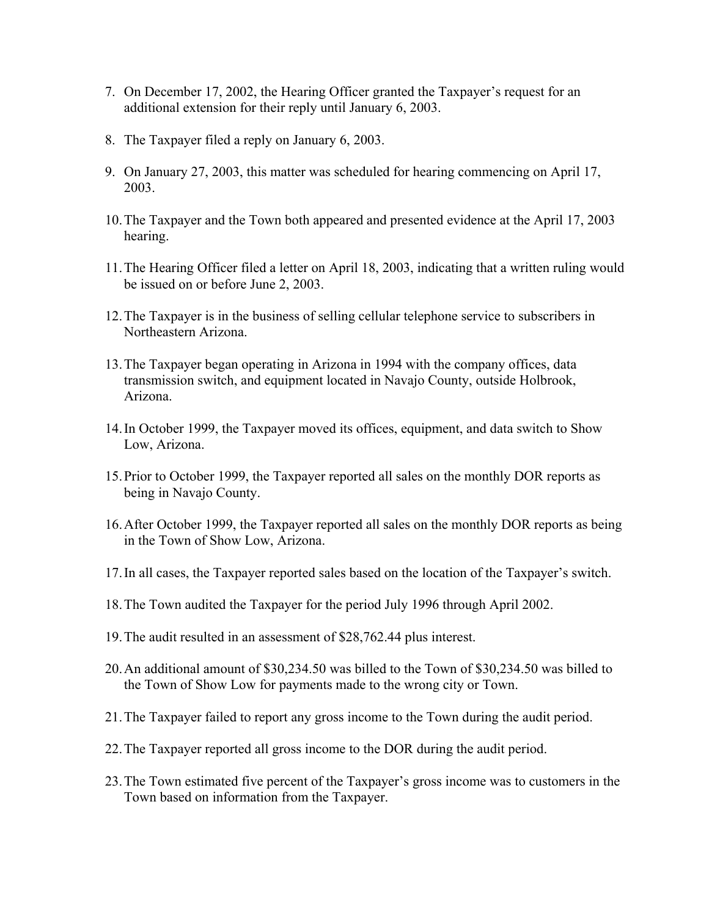- 7. On December 17, 2002, the Hearing Officer granted the Taxpayer's request for an additional extension for their reply until January 6, 2003.
- 8. The Taxpayer filed a reply on January 6, 2003.
- 9. On January 27, 2003, this matter was scheduled for hearing commencing on April 17, 2003.
- 10. The Taxpayer and the Town both appeared and presented evidence at the April 17, 2003 hearing.
- 11. The Hearing Officer filed a letter on April 18, 2003, indicating that a written ruling would be issued on or before June 2, 2003.
- 12. The Taxpayer is in the business of selling cellular telephone service to subscribers in Northeastern Arizona.
- 13. The Taxpayer began operating in Arizona in 1994 with the company offices, data transmission switch, and equipment located in Navajo County, outside Holbrook, Arizona.
- 14. In October 1999, the Taxpayer moved its offices, equipment, and data switch to Show Low, Arizona.
- 15. Prior to October 1999, the Taxpayer reported all sales on the monthly DOR reports as being in Navajo County.
- 16. After October 1999, the Taxpayer reported all sales on the monthly DOR reports as being in the Town of Show Low, Arizona.
- 17. In all cases, the Taxpayer reported sales based on the location of the Taxpayer's switch.
- 18. The Town audited the Taxpayer for the period July 1996 through April 2002.
- 19. The audit resulted in an assessment of \$28,762.44 plus interest.
- 20. An additional amount of \$30,234.50 was billed to the Town of \$30,234.50 was billed to the Town of Show Low for payments made to the wrong city or Town.
- 21. The Taxpayer failed to report any gross income to the Town during the audit period.
- 22. The Taxpayer reported all gross income to the DOR during the audit period.
- 23. The Town estimated five percent of the Taxpayer's gross income was to customers in the Town based on information from the Taxpayer.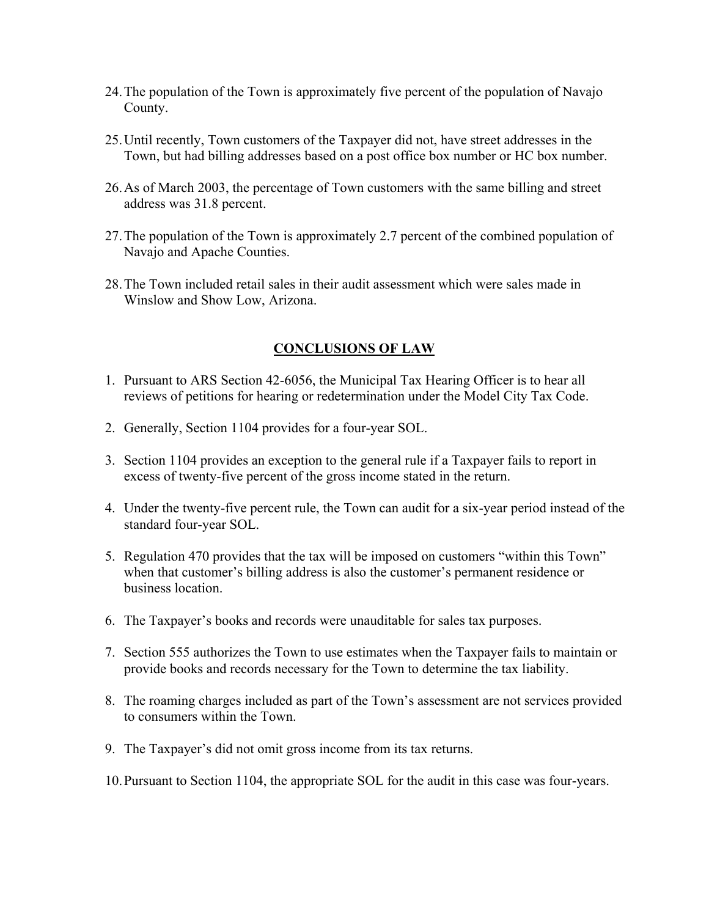- 24. The population of the Town is approximately five percent of the population of Navajo County.
- 25. Until recently, Town customers of the Taxpayer did not, have street addresses in the Town, but had billing addresses based on a post office box number or HC box number.
- 26. As of March 2003, the percentage of Town customers with the same billing and street address was 31.8 percent.
- 27. The population of the Town is approximately 2.7 percent of the combined population of Navajo and Apache Counties.
- 28. The Town included retail sales in their audit assessment which were sales made in Winslow and Show Low, Arizona.

## **CONCLUSIONS OF LAW**

- 1. Pursuant to ARS Section 42-6056, the Municipal Tax Hearing Officer is to hear all reviews of petitions for hearing or redetermination under the Model City Tax Code.
- 2. Generally, Section 1104 provides for a four-year SOL.
- 3. Section 1104 provides an exception to the general rule if a Taxpayer fails to report in excess of twenty-five percent of the gross income stated in the return.
- 4. Under the twenty-five percent rule, the Town can audit for a six-year period instead of the standard four-year SOL.
- 5. Regulation 470 provides that the tax will be imposed on customers "within this Town" when that customer's billing address is also the customer's permanent residence or business location.
- 6. The Taxpayer's books and records were unauditable for sales tax purposes.
- 7. Section 555 authorizes the Town to use estimates when the Taxpayer fails to maintain or provide books and records necessary for the Town to determine the tax liability.
- 8. The roaming charges included as part of the Town's assessment are not services provided to consumers within the Town.
- 9. The Taxpayer's did not omit gross income from its tax returns.
- 10. Pursuant to Section 1104, the appropriate SOL for the audit in this case was four-years.